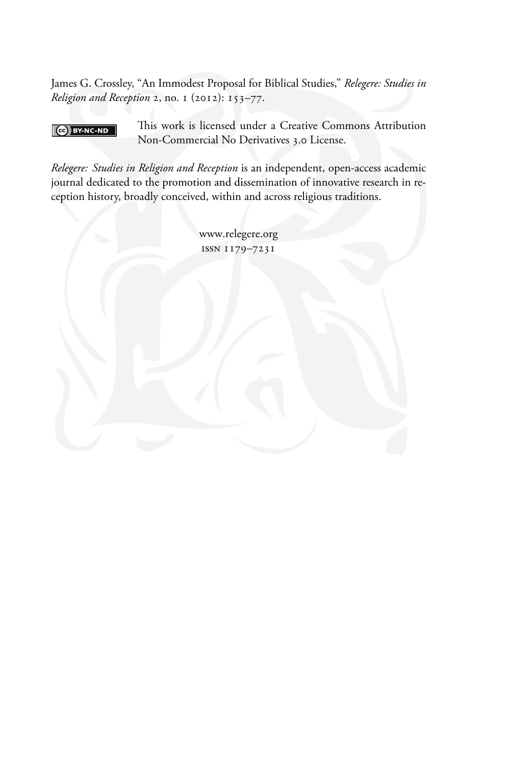James G. Crossley, "An Immodest Proposal for Biblical Studies," Relegere: Studies in Religion and Reception 2, no. 1 (2012): 153-77.

#### $\bigcirc$  BY-NC-ND

This work is licensed under a Creative Commons Attribution Non-Commercial No Derivatives 3.0 License.

Relegere: Studies in Religion and Reception is an independent, open-access academic journal dedicated to the promotion and dissemination of innovative research in reception history, broadly conceived, within and across religious traditions.

> www.relegere.org ISSN 1179-7231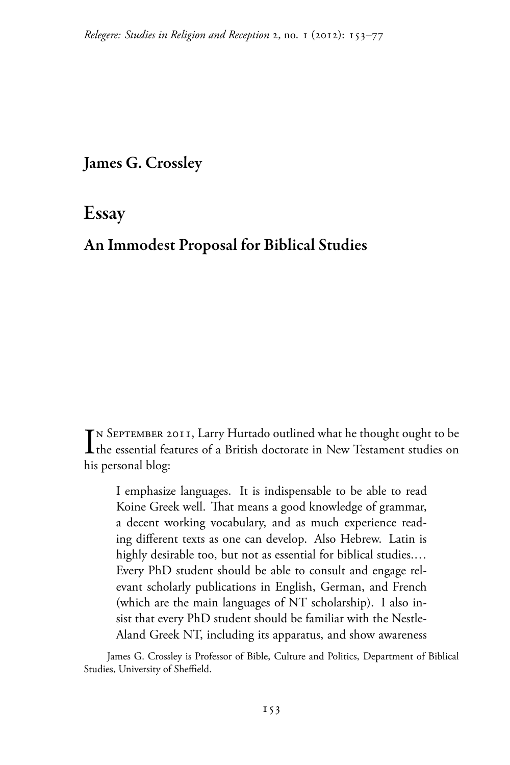James G. Crossley

**Essay** 

# An Immodest Proposal for Biblical Studies

 $\mathbf{T}$ N SEPTEMBER 2011, Larry Hurtado outlined what he thought ought to be The essential features of a British doctorate in New Testament studies on his personal blog:

I emphasize languages. It is indispensable to be able to read Koine Greek well. That means a good knowledge of grammar, a decent working vocabulary, and as much experience reading different texts as one can develop. Also Hebrew. Latin is highly desirable too, but not as essential for biblical studies.... Every PhD student should be able to consult and engage relevant scholarly publications in English, German, and French (which are the main languages of NT scholarship). I also insist that every PhD student should be familiar with the Nestle-Aland Greek NT, including its apparatus, and show awareness

James G. Crossley is Professor of Bible, Culture and Politics, Department of Biblical Studies, University of Sheffield.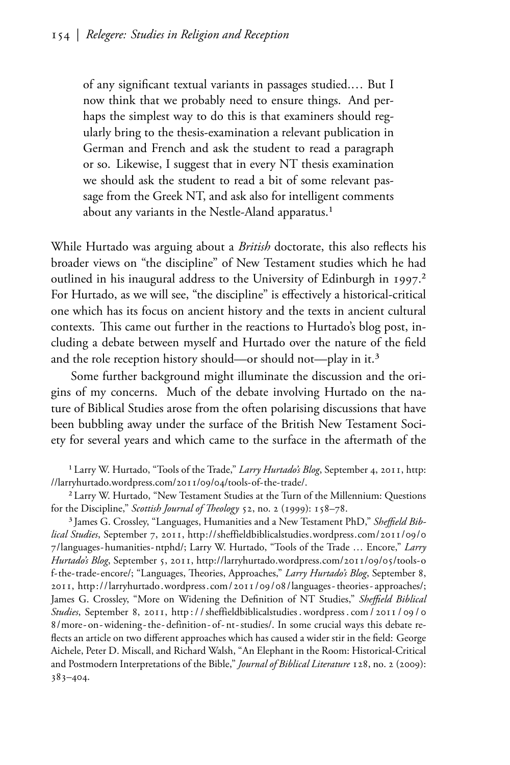of any significant textual variants in passages studied.... But I now think that we probably need to ensure things. And perhaps the simplest way to do this is that examiners should regularly bring to the thesis-examination a relevant publication in German and French and ask the student to read a paragraph or so. Likewise, I suggest that in every NT thesis examination we should ask the student to read a bit of some relevant passage from the Greek NT, and ask also for intelligent comments about any variants in the Nestle-Aland apparatus.<sup>1</sup>

While Hurtado was arguing about a *British* doctorate, this also reflects his broader views on "the discipline" of New Testament studies which he had outlined in his inaugural address to the University of Edinburgh in 1997.<sup>2</sup> For Hurtado, as we will see, "the discipline" is effectively a historical-critical one which has its focus on ancient history and the texts in ancient cultural contexts. This came out further in the reactions to Hurtado's blog post, including a debate between myself and Hurtado over the nature of the field and the role reception history should—or should not—play in it.<sup>3</sup>

Some further background might illuminate the discussion and the origins of my concerns. Much of the debate involving Hurtado on the nature of Biblical Studies arose from the often polarising discussions that have been bubbling away under the surface of the British New Testament Society for several years and which came to the surface in the aftermath of the

<span id="page-2-2"></span><sup>1</sup> Larry W. Hurtado, "Tools of the Trade," Larry Hurtado's Blog, September 4, 2011, http: //larryhurtado.wordpress.com/2011/09/04/tools-of-the-trade/.

<span id="page-2-0"></span><sup>2</sup> Larry W. Hurtado, "New Testament Studies at the Turn of the Millennium: Questions for the Discipline," Scottish Journal of Theology 52, no. 2 (1999): 158-78.

<span id="page-2-3"></span><span id="page-2-1"></span><sup>3</sup> James G. Crossley, "Languages, Humanities and a New Testament PhD," Sheffield Biblical Studies, September 7, 2011, http://sheffieldbiblicalstudies.wordpress.com/2011/09/0 7/languages-humanities-ntphd/; Larry W. Hurtado, "Tools of the Trade ... Encore," Larry Hurtado's Blog, September 5, 2011, http://larryhurtado.wordpress.com/2011/09/05/tools-0 f-the-trade-encore/; "Languages, Theories, Approaches," Larry Hurtado's Blog, September 8, 2011, http://larryhurtado.wordpress.com/2011/09/08/languages-theories-approaches/; James G. Crossley, "More on Widening the Definition of NT Studies," Sheffield Biblical Studies, September 8, 2011, http://sheffieldbiblicalstudies.wordpress.com/2011/09/0 8/more-on-widening-the-definition-of-nt-studies/. In some crucial ways this debate reflects an article on two different approaches which has caused a wider stir in the field: George Aichele, Peter D. Miscall, and Richard Walsh, "An Elephant in the Room: Historical-Critical and Postmodern Interpretations of the Bible," *Journal of Biblical Literature* 128, no. 2 (2009):  $383 - 404.$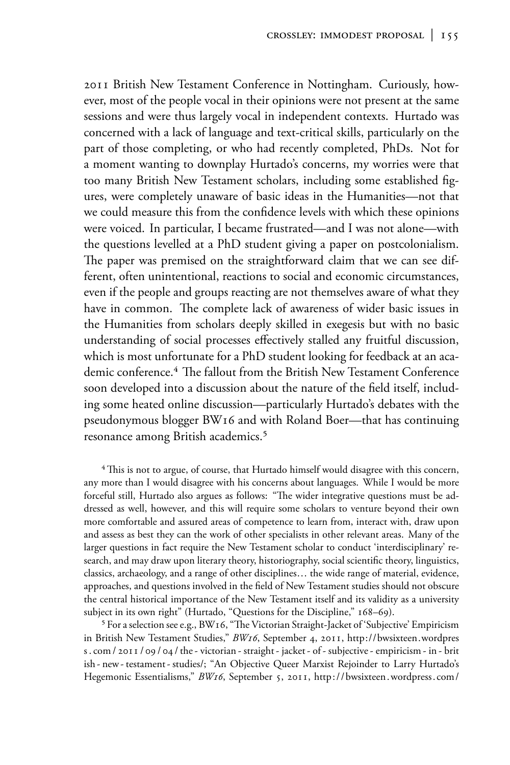2011 British New Testament Conference in Nottingham. Curiously, however, most of the people vocal in their opinions were not present at the same sessions and were thus largely vocal in independent contexts. Hurtado was concerned with a lack of language and text-critical skills, particularly on the part of those completing, or who had recently completed, PhDs. Not for a moment wanting to downplay Hurtado's concerns, my worries were that too many British New Testament scholars, including some established figures, were completely unaware of basic ideas in the Humanities—not that we could measure this from the confidence levels with which these opinions were voiced. In particular, I became frustrated—and I was not alone—with the questions levelled at a PhD student giving a paper on postcolonialism. The paper was premised on the straightforward claim that we can see different, often unintentional, reactions to social and economic circumstances, even if the people and groups reacting are not themselves aware of what they have in common. The complete lack of awareness of wider basic issues in the Humanities from scholars deeply skilled in exegesis but with no basic understanding of social processes effectively stalled any fruitful discussion, which is most unfortunate for a PhD student looking for feedback at an academic conference.<sup>4</sup> The fallout from the British New Testament Conference soon developed into a discussion about the nature of the field itself, including some heated online discussion—particularly Hurtado's debates with the pseudonymous blogger BW16 and with Roland Boer-that has continuing resonance among British academics.<sup>5</sup>

<sup>4</sup> This is not to argue, of course, that Hurtado himself would disagree with this concern, any more than I would disagree with his concerns about languages. While I would be more forceful still, Hurtado also argues as follows: "The wider integrative questions must be addressed as well, however, and this will require some scholars to venture beyond their own more comfortable and assured areas of competence to learn from, interact with, draw upon and assess as best they can the work of other specialists in other relevant areas. Many of the larger questions in fact require the New Testament scholar to conduct 'interdisciplinary' research, and may draw upon literary theory, historiography, social scientific theory, linguistics, classics, archaeology, and a range of other disciplines... the wide range of material, evidence, approaches, and questions involved in the field of New Testament studies should not obscure the central historical importance of the New Testament itself and its validity as a university subject in its own right" (Hurtado, "Questions for the Discipline," 168-69).

<span id="page-3-0"></span><sup>5</sup> For a selection see e.g., BW16, "The Victorian Straight-Jacket of 'Subjective' Empiricism in British New Testament Studies," BW16, September 4, 2011, http://bwsixteen.wordpres s. com / 2011 / 09 / 04 / the - victorian - straight - jacket - of - subjective - empiricism - in - brit ish - new - testament - studies/; "An Objective Queer Marxist Rejoinder to Larry Hurtado's Hegemonic Essentialisms," BW16, September 5, 2011, http://bwsixteen.wordpress.com/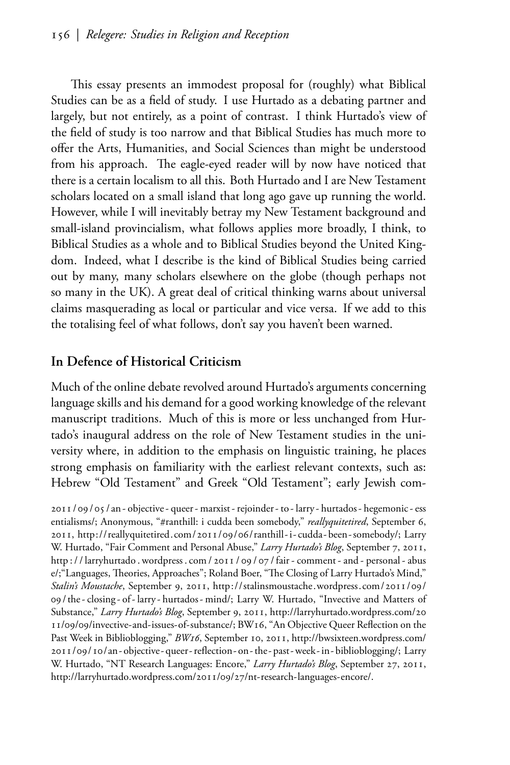This essay presents an immodest proposal for (roughly) what Biblical Studies can be as a field of study. I use Hurtado as a debating partner and largely, but not entirely, as a point of contrast. I think Hurtado's view of the field of study is too narrow and that Biblical Studies has much more to offer the Arts, Humanities, and Social Sciences than might be understood from his approach. The eagle-eyed reader will by now have noticed that there is a certain localism to all this. Both Hurtado and I are New Testament scholars located on a small island that long ago gave up running the world. However, while I will inevitably betray my New Testament background and small-island provincialism, what follows applies more broadly, I think, to Biblical Studies as a whole and to Biblical Studies beyond the United Kingdom. Indeed, what I describe is the kind of Biblical Studies being carried out by many, many scholars elsewhere on the globe (though perhaps not so many in the UK). A great deal of critical thinking warns about universal claims masquerading as local or particular and vice versa. If we add to this the totalising feel of what follows, don't say you haven't been warned.

## In Defence of Historical Criticism

Much of the online debate revolved around Hurtado's arguments concerning language skills and his demand for a good working knowledge of the relevant manuscript traditions. Much of this is more or less unchanged from Hurtado's inaugural address on the role of New Testament studies in the university where, in addition to the emphasis on linguistic training, he places strong emphasis on familiarity with the earliest relevant contexts, such as: Hebrew "Old Testament" and Greek "Old Testament"; early Jewish com-

<span id="page-4-3"></span><span id="page-4-2"></span><span id="page-4-1"></span><span id="page-4-0"></span>2011/09/05/an-objective-queer-marxist-rejoinder-to-larry-hurtados-hegemonic-ess entialisms/; Anonymous, "#ranthill: i cudda been somebody," reallyquitetired, September 6, 2011, http://reallyquitetired.com/2011/09/06/ranthill-i-cudda-been-somebody/; Larry W. Hurtado, "Fair Comment and Personal Abuse," Larry Hurtado's Blog, September 7, 2011, http://larryhurtado.wordpress.com/2011/09/07/fair-comment-and-personal-abus e/; "Languages, Theories, Approaches"; Roland Boer, "The Closing of Larry Hurtado's Mind," Stalin's Moustache, September 9, 2011, http://stalinsmoustache.wordpress.com/2011/09/ 09/the-closing-of-larry-hurtados-mind/; Larry W. Hurtado, "Invective and Matters of Substance," Larry Hurtado's Blog, September 9, 2011, http://larryhurtado.wordpress.com/20 11/09/09/invective-and-issues-of-substance/; BW16, "An Objective Queer Reflection on the Past Week in Biblioblogging," BW16, September 10, 2011, http://bwsixteen.wordpress.com/ 2011/09/10/an-objective-queer-reflection-on-the-past-week-in-biblioblogging/; Larry W. Hurtado, "NT Research Languages: Encore," Larry Hurtado's Blog, September 27, 2011, http://larryhurtado.wordpress.com/2011/09/27/nt-research-languages-encore/.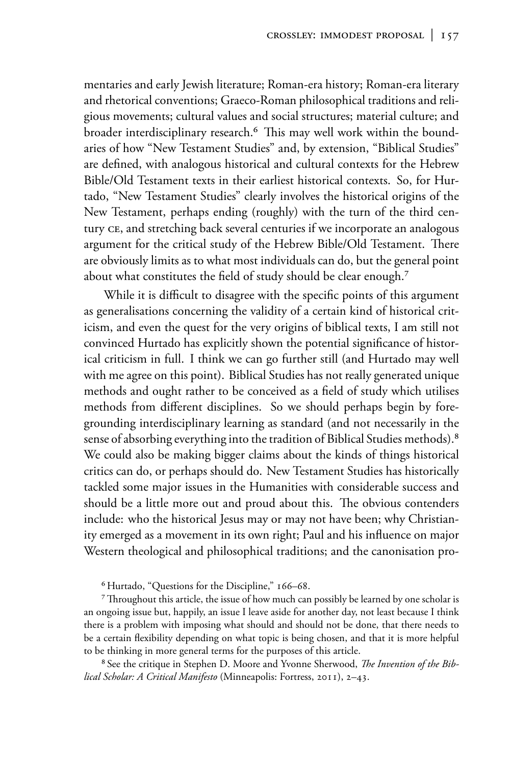mentaries and early Jewish literature; Roman-era history; Roman-era literary and rhetorical conventions; Graeco-Roman philosophical traditions and religious movements; cultural values and social structures; material culture; and broader interdisciplinary research.<sup>6</sup> This may well work within the boundaries of how "New Testament Studies" and, by extension, "Biblical Studies" are defined, with analogous historical and cultural contexts for the Hebrew Bible/Old Testament texts in their earliest historical contexts. So, for Hurtado, "New Testament Studies" clearly involves the historical origins of the New Testament, perhaps ending (roughly) with the turn of the third century CE, and stretching back several centuries if we incorporate an analogous argument for the critical study of the Hebrew Bible/Old Testament. There are obviously limits as to what most individuals can do, but the general point about what constitutes the field of study should be clear enough.<sup>7</sup>

While it is difficult to disagree with the specific points of this argument as generalisations concerning the validity of a certain kind of historical criticism, and even the quest for the very origins of biblical texts, I am still not convinced Hurtado has explicitly shown the potential significance of historical criticism in full. I think we can go further still (and Hurtado may well with me agree on this point). Biblical Studies has not really generated unique methods and ought rather to be conceived as a field of study which utilises methods from different disciplines. So we should perhaps begin by foregrounding interdisciplinary learning as standard (and not necessarily in the sense of absorbing everything into the tradition of Biblical Studies methods).<sup>8</sup> We could also be making bigger claims about the kinds of things historical critics can do, or perhaps should do. New Testament Studies has historically tackled some major issues in the Humanities with considerable success and should be a little more out and proud about this. The obvious contenders include: who the historical Jesus may or may not have been; why Christianity emerged as a movement in its own right; Paul and his influence on major Western theological and philosophical traditions; and the canonisation pro-

<sup>6</sup> Hurtado, "Questions for the Discipline," 166-68.

<sup>7</sup> Throughout this article, the issue of how much can possibly be learned by one scholar is an ongoing issue but, happily, an issue I leave aside for another day, not least because I think there is a problem with imposing what should and should not be done, that there needs to be a certain flexibility depending on what topic is being chosen, and that it is more helpful to be thinking in more general terms for the purposes of this article.

<span id="page-5-0"></span><sup>8</sup> See the critique in Stephen D. Moore and Yvonne Sherwood, *The Invention of the Bib*lical Scholar: A Critical Manifesto (Minneapolis: Fortress, 2011), 2-43.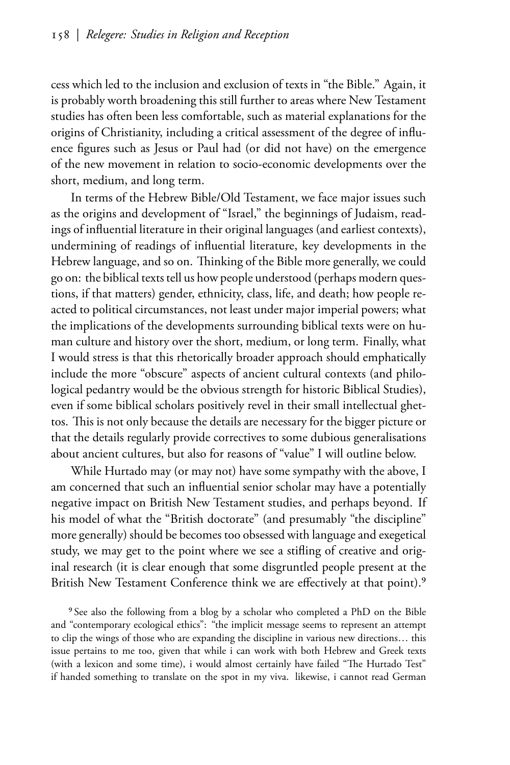cess which led to the inclusion and exclusion of texts in "the Bible." Again, it is probably worth broadening this still further to areas where New Testament studies has often been less comfortable, such as material explanations for the origins of Christianity, including a critical assessment of the degree of influence figures such as Jesus or Paul had (or did not have) on the emergence of the new movement in relation to socio-economic developments over the short, medium, and long term.

In terms of the Hebrew Bible/Old Testament, we face major issues such as the origins and development of "Israel," the beginnings of Judaism, readings of influential literature in their original languages (and earliest contexts), undermining of readings of influential literature, key developments in the Hebrew language, and so on. Thinking of the Bible more generally, we could go on: the biblical texts tell us how people understood (perhaps modern questions, if that matters) gender, ethnicity, class, life, and death; how people reacted to political circumstances, not least under major imperial powers; what the implications of the developments surrounding biblical texts were on human culture and history over the short, medium, or long term. Finally, what I would stress is that this rhetorically broader approach should emphatically include the more "obscure" aspects of ancient cultural contexts (and philological pedantry would be the obvious strength for historic Biblical Studies), even if some biblical scholars positively revel in their small intellectual ghettos. This is not only because the details are necessary for the bigger picture or that the details regularly provide correctives to some dubious generalisations about ancient cultures, but also for reasons of "value" I will outline below.

While Hurtado may (or may not) have some sympathy with the above, I am concerned that such an influential senior scholar may have a potentially negative impact on British New Testament studies, and perhaps beyond. If his model of what the "British doctorate" (and presumably "the discipline" more generally) should be becomes too obsessed with language and exegetical study, we may get to the point where we see a stifling of creative and original research (it is clear enough that some disgruntled people present at the British New Testament Conference think we are effectively at that point).<sup>9</sup>

<sup>9</sup> See also the following from a blog by a scholar who completed a PhD on the Bible and "contemporary ecological ethics": "the implicit message seems to represent an attempt to clip the wings of those who are expanding the discipline in various new directions... this issue pertains to me too, given that while i can work with both Hebrew and Greek texts (with a lexicon and some time), i would almost certainly have failed "The Hurtado Test" if handed something to translate on the spot in my viva. likewise, i cannot read German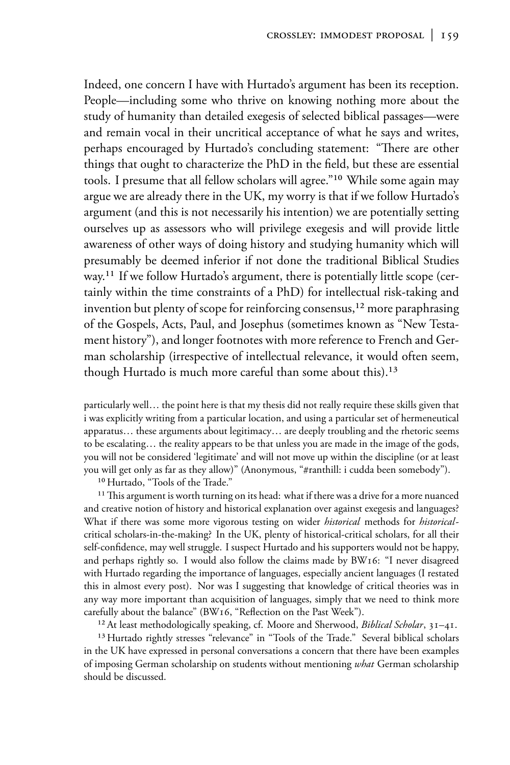Indeed, one concern I have with Hurtado's argument has been its reception. People—including some who thrive on knowing nothing more about the study of humanity than detailed exegesis of selected biblical passages—were and remain vocal in their uncritical acceptance of what he says and writes, perhaps encouraged by Hurtado's concluding statement: "There are other things that ought to characterize the PhD in the field, but these are essential tools. I presume that all fellow scholars will agree."<sup>10</sup> While some again may argue we are already there in the UK, my worry is that if we follow Hurtado's argument (and this is not necessarily his intention) we are potentially setting ourselves up as assessors who will privilege exegesis and will provide little awareness of other ways of doing history and studying humanity which will presumably be deemed inferior if not done the traditional Biblical Studies way.<sup>11</sup> If we follow Hurtado's argument, there is potentially little scope (certainly within the time constraints of a PhD) for intellectual risk-taking and invention but plenty of scope for reinforcing consensus,<sup>12</sup> more paraphrasing of the Gospels, Acts, Paul, and Josephus (sometimes known as "New Testament history"), and longer footnotes with more reference to French and German scholarship (irrespective of intellectual relevance, it would often seem, though Hurtado is much more careful than some about this).<sup>13</sup>

particularly well... the point here is that my thesis did not really require these skills given that i was explicitly writing from a particular location, and using a particular set of hermeneutical apparatus... these arguments about legitimacy... are deeply troubling and the rhetoric seems to be escalating... the reality appears to be that unless you are made in the image of the gods, you will not be considered 'legitimate' and will not move up within the discipline (or at least you will get only as far as they allow)" (Anonymous, "#ranthill: i cudda been somebody").

<sup>10</sup> Hurtado, "Tools of the Trade."

<sup>11</sup> This argument is worth turning on its head: what if there was a drive for a more nuanced and creative notion of history and historical explanation over against exegesis and languages? What if there was some more vigorous testing on wider *historical* methods for *historical*critical scholars-in-the-making? In the UK, plenty of historical-critical scholars, for all their self-confidence, may well struggle. I suspect Hurtado and his supporters would not be happy, and perhaps rightly so. I would also follow the claims made by BW16: "I never disagreed with Hurtado regarding the importance of languages, especially ancient languages (I restated this in almost every post). Nor was I suggesting that knowledge of critical theories was in any way more important than acquisition of languages, simply that we need to think more carefully about the balance" (BW16, "Reflection on the Past Week").

<sup>12</sup> At least methodologically speaking, cf. Moore and Sherwood, *Biblical Scholar*, 31-41. <sup>13</sup> Hurtado rightly stresses "relevance" in "Tools of the Trade." Several biblical scholars

in the UK have expressed in personal conversations a concern that there have been examples of imposing German scholarship on students without mentioning what German scholarship should be discussed.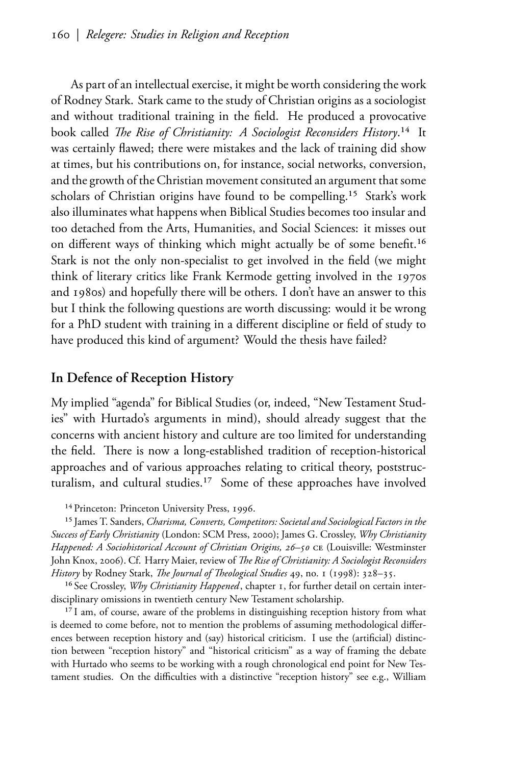As part of an intellectual exercise, it might be worth considering the work of Rodney Stark. Stark came to the study of Christian origins as a sociologist and without traditional training in the field. He produced a provocative book called *The Rise of Christianity: A Sociologist Reconsiders History*.<sup>14</sup> It was certainly flawed; there were mistakes and the lack of training did show at times, but his contributions on, for instance, social networks, conversion, and the growth of the Christian movement consituted an argument that some scholars of Christian origins have found to be compelling.<sup>15</sup> Stark's work also illuminates what happens when Biblical Studies becomes too insular and too detached from the Arts, Humanities, and Social Sciences: it misses out on different ways of thinking which might actually be of some benefit.<sup>16</sup> Stark is not the only non-specialist to get involved in the field (we might think of literary critics like Frank Kermode getting involved in the 1970s and 1980s) and hopefully there will be others. I don't have an answer to this but I think the following questions are worth discussing: would it be wrong for a PhD student with training in a different discipline or field of study to have produced this kind of argument? Would the thesis have failed?

### In Defence of Reception History

My implied "agenda" for Biblical Studies (or, indeed, "New Testament Studies" with Hurtado's arguments in mind), should already suggest that the concerns with ancient history and culture are too limited for understanding the field. There is now a long-established tradition of reception-historical approaches and of various approaches relating to critical theory, poststructuralism, and cultural studies.<sup>17</sup> Some of these approaches have involved

<span id="page-8-0"></span><sup>&</sup>lt;sup>14</sup> Princeton: Princeton University Press, 1996.

<sup>&</sup>lt;sup>15</sup> James T. Sanders, Charisma, Converts, Competitors: Societal and Sociological Factors in the Success of Early Christianity (London: SCM Press, 2000); James G. Crossley, Why Christianity Happened: A Sociohistorical Account of Christian Origins, 26-50 CE (Louisville: Westminster John Knox, 2006). Cf. Harry Maier, review of The Rise of Christianity: A Sociologist Reconsiders History by Rodney Stark, The Journal of Theological Studies 49, no. 1 (1998): 328-35.

<sup>&</sup>lt;sup>16</sup> See Crossley, *Why Christianity Happened*, chapter 1, for further detail on certain interdisciplinary omissions in twentieth century New Testament scholarship.

<span id="page-8-1"></span><sup>&</sup>lt;sup>17</sup> I am, of course, aware of the problems in distinguishing reception history from what is deemed to come before, not to mention the problems of assuming methodological differences between reception history and (say) historical criticism. I use the (artificial) distinction between "reception history" and "historical criticism" as a way of framing the debate with Hurtado who seems to be working with a rough chronological end point for New Testament studies. On the difficulties with a distinctive "reception history" see e.g., William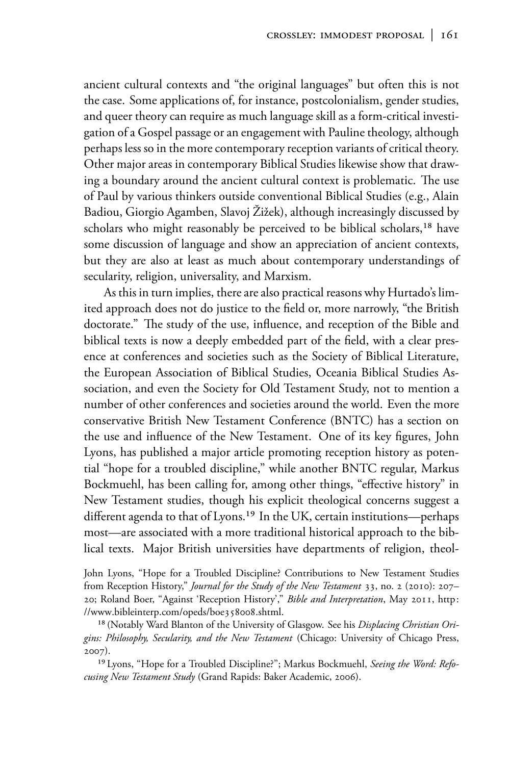ancient cultural contexts and "the original languages" but often this is not the case. Some applications of, for instance, postcolonialism, gender studies, and queer theory can require as much language skill as a form-critical investigation of a Gospel passage or an engagement with Pauline theology, although perhaps less so in the more contemporary reception variants of critical theory. Other major areas in contemporary Biblical Studies likewise show that drawing a boundary around the ancient cultural context is problematic. The use of Paul by various thinkers outside conventional Biblical Studies (e.g., Alain Badiou, Giorgio Agamben, Slavoj Žižek), although increasingly discussed by scholars who might reasonably be perceived to be biblical scholars,<sup>18</sup> have some discussion of language and show an appreciation of ancient contexts, but they are also at least as much about contemporary understandings of secularity, religion, universality, and Marxism.

As this in turn implies, there are also practical reasons why Hurtado's limited approach does not do justice to the field or, more narrowly, "the British doctorate." The study of the use, influence, and reception of the Bible and biblical texts is now a deeply embedded part of the field, with a clear presence at conferences and societies such as the Society of Biblical Literature, the European Association of Biblical Studies, Oceania Biblical Studies Association, and even the Society for Old Testament Study, not to mention a number of other conferences and societies around the world. Even the more conservative British New Testament Conference (BNTC) has a section on the use and influence of the New Testament. One of its key figures, John Lyons, has published a major article promoting reception history as potential "hope for a troubled discipline," while another BNTC regular, Markus Bockmuehl, has been calling for, among other things, "effective history" in New Testament studies, though his explicit theological concerns suggest a different agenda to that of Lyons.<sup>19</sup> In the UK, certain institutions—perhaps most—are associated with a more traditional historical approach to the biblical texts. Major British universities have departments of religion, theol-

John Lyons, "Hope for a Troubled Discipline? Contributions to New Testament Studies from Reception History," Journal for the Study of the New Testament 33, no. 2 (2010): 207-20; Roland Boer, "Against 'Reception History'," Bible and Interpretation, May 2011, http: //www.bibleinterp.com/opeds/boe358008.shtml.

<span id="page-9-1"></span><sup>18</sup> (Notably Ward Blanton of the University of Glasgow. See his Displacing Christian Origins: Philosophy, Secularity, and the New Testament (Chicago: University of Chicago Press,  $2007$ ).

<span id="page-9-0"></span><sup>19</sup> Lyons, "Hope for a Troubled Discipline?"; Markus Bockmuehl, Seeing the Word: Refocusing New Testament Study (Grand Rapids: Baker Academic, 2006).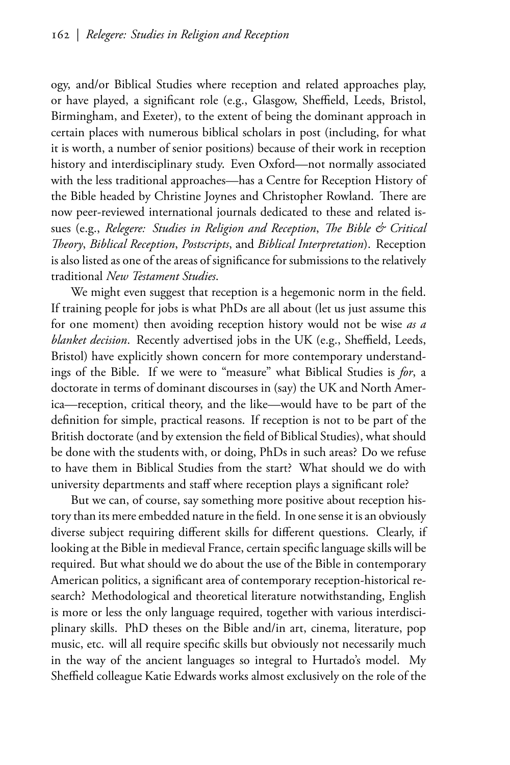ogy, and/or Biblical Studies where reception and related approaches play, or have played, a significant role (e.g., Glasgow, Sheffield, Leeds, Bristol, Birmingham, and Exeter), to the extent of being the dominant approach in certain places with numerous biblical scholars in post (including, for what it is worth, a number of senior positions) because of their work in reception history and interdisciplinary study. Even Oxford—not normally associated with the less traditional approaches—has a Centre for Reception History of the Bible headed by Christine Joynes and Christopher Rowland. There are now peer-reviewed international journals dedicated to these and related issues (e.g., Relegere: Studies in Religion and Reception, The Bible & Critical Theory, Biblical Reception, Postscripts, and Biblical Interpretation). Reception is also listed as one of the areas of significance for submissions to the relatively traditional New Testament Studies.

We might even suggest that reception is a hegemonic norm in the field. If training people for jobs is what PhDs are all about (let us just assume this for one moment) then avoiding reception history would not be wise as a blanket decision. Recently advertised jobs in the UK (e.g., Sheffield, Leeds, Bristol) have explicitly shown concern for more contemporary understandings of the Bible. If we were to "measure" what Biblical Studies is for, a doctorate in terms of dominant discourses in (say) the UK and North America-reception, critical theory, and the like-would have to be part of the definition for simple, practical reasons. If reception is not to be part of the British doctorate (and by extension the field of Biblical Studies), what should be done with the students with, or doing, PhDs in such areas? Do we refuse to have them in Biblical Studies from the start? What should we do with university departments and staff where reception plays a significant role?

But we can, of course, say something more positive about reception history than its mere embedded nature in the field. In one sense it is an obviously diverse subject requiring different skills for different questions. Clearly, if looking at the Bible in medieval France, certain specific language skills will be required. But what should we do about the use of the Bible in contemporary American politics, a significant area of contemporary reception-historical research? Methodological and theoretical literature notwithstanding, English is more or less the only language required, together with various interdisciplinary skills. PhD theses on the Bible and/in art, cinema, literature, pop music, etc. will all require specific skills but obviously not necessarily much in the way of the ancient languages so integral to Hurtado's model. My Sheffield colleague Katie Edwards works almost exclusively on the role of the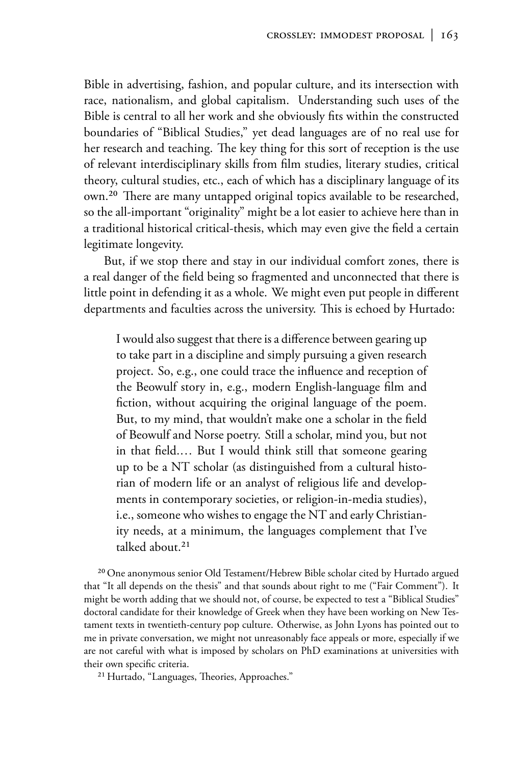Bible in advertising, fashion, and popular culture, and its intersection with race, nationalism, and global capitalism. Understanding such uses of the Bible is central to all her work and she obviously fits within the constructed boundaries of "Biblical Studies," yet dead languages are of no real use for her research and teaching. The key thing for this sort of reception is the use of relevant interdisciplinary skills from film studies, literary studies, critical theory, cultural studies, etc., each of which has a disciplinary language of its own.<sup>20</sup> There are many untapped original topics available to be researched, so the all-important "originality" might be a lot easier to achieve here than in a traditional historical critical-thesis, which may even give the field a certain legitimate longevity.

But, if we stop there and stay in our individual comfort zones, there is a real danger of the field being so fragmented and unconnected that there is little point in defending it as a whole. We might even put people in different departments and faculties across the university. This is echoed by Hurtado:

I would also suggest that there is a difference between gearing up to take part in a discipline and simply pursuing a given research project. So, e.g., one could trace the influence and reception of the Beowulf story in, e.g., modern English-language film and fiction, without acquiring the original language of the poem. But, to my mind, that wouldn't make one a scholar in the field of Beowulf and Norse poetry. Still a scholar, mind you, but not in that field.... But I would think still that someone gearing up to be a NT scholar (as distinguished from a cultural historian of modern life or an analyst of religious life and developments in contemporary societies, or religion-in-media studies), i.e., someone who wishes to engage the NT and early Christianity needs, at a minimum, the languages complement that I've talked about.<sup>21</sup>

<sup>20</sup> One anonymous senior Old Testament/Hebrew Bible scholar cited by Hurtado argued that "It all depends on the thesis" and that sounds about right to me ("Fair Comment"). It might be worth adding that we should not, of course, be expected to test a "Biblical Studies" doctoral candidate for their knowledge of Greek when they have been working on New Testament texts in twentieth-century pop culture. Otherwise, as John Lyons has pointed out to me in private conversation, we might not unreasonably face appeals or more, especially if we are not careful with what is imposed by scholars on PhD examinations at universities with their own specific criteria.

<sup>21</sup> Hurtado, "Languages, Theories, Approaches."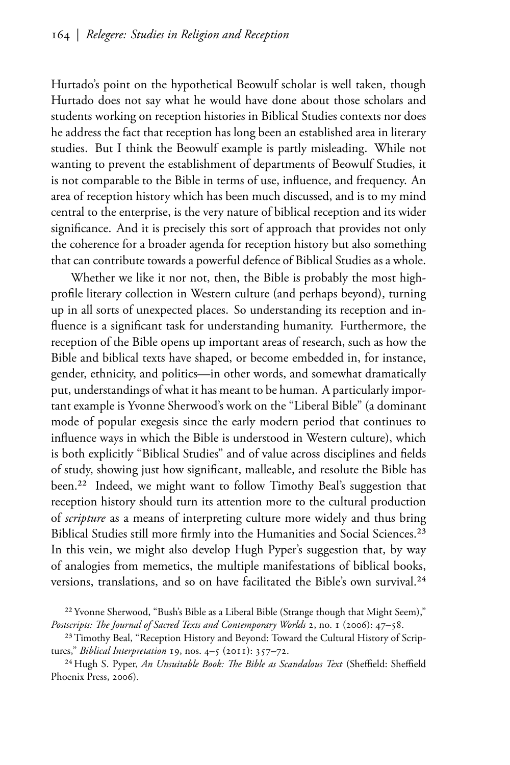Hurtado's point on the hypothetical Beowulf scholar is well taken, though Hurtado does not say what he would have done about those scholars and students working on reception histories in Biblical Studies contexts nor does he address the fact that reception has long been an established area in literary studies. But I think the Beowulf example is partly misleading. While not wanting to prevent the establishment of departments of Beowulf Studies, it is not comparable to the Bible in terms of use, influence, and frequency. An area of reception history which has been much discussed, and is to my mind central to the enterprise, is the very nature of biblical reception and its wider significance. And it is precisely this sort of approach that provides not only the coherence for a broader agenda for reception history but also something that can contribute towards a powerful defence of Biblical Studies as a whole.

Whether we like it nor not, then, the Bible is probably the most highprofile literary collection in Western culture (and perhaps beyond), turning up in all sorts of unexpected places. So understanding its reception and influence is a significant task for understanding humanity. Furthermore, the reception of the Bible opens up important areas of research, such as how the Bible and biblical texts have shaped, or become embedded in, for instance, gender, ethnicity, and politics—in other words, and somewhat dramatically put, understandings of what it has meant to be human. A particularly important example is Yvonne Sherwood's work on the "Liberal Bible" (a dominant mode of popular exegesis since the early modern period that continues to influence ways in which the Bible is understood in Western culture), which is both explicitly "Biblical Studies" and of value across disciplines and fields of study, showing just how significant, malleable, and resolute the Bible has been.<sup>22</sup> Indeed, we might want to follow Timothy Beal's suggestion that reception history should turn its attention more to the cultural production of *scripture* as a means of interpreting culture more widely and thus bring Biblical Studies still more firmly into the Humanities and Social Sciences.<sup>23</sup> In this vein, we might also develop Hugh Pyper's suggestion that, by way of analogies from memetics, the multiple manifestations of biblical books, versions, translations, and so on have facilitated the Bible's own survival.<sup>24</sup>

<sup>24</sup> Hugh S. Pyper, An Unsuitable Book: The Bible as Scandalous Text (Sheffield: Sheffield Phoenix Press, 2006).

<sup>&</sup>lt;sup>22</sup> Yvonne Sherwood, "Bush's Bible as a Liberal Bible (Strange though that Might Seem)," Postscripts: The Journal of Sacred Texts and Contemporary Worlds 2, no. 1 (2006): 47–58.

<sup>&</sup>lt;sup>23</sup> Timothy Beal, "Reception History and Beyond: Toward the Cultural History of Scriptures," *Biblical Interpretation* 19, nos. 4-5 (2011): 357-72.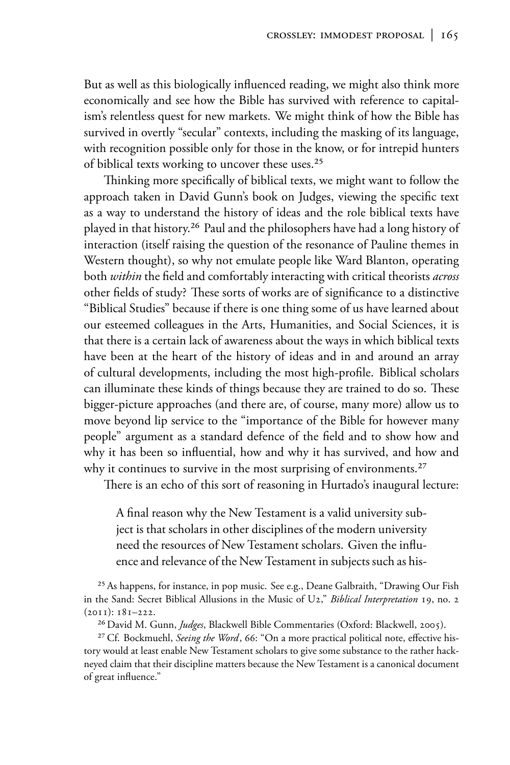But as well as this biologically influenced reading, we might also think more economically and see how the Bible has survived with reference to capitalism's relentless quest for new markets. We might think of how the Bible has survived in overtly "secular" contexts, including the masking of its language, with recognition possible only for those in the know, or for intrepid hunters of biblical texts working to uncover these uses.<sup>25</sup>

Thinking more specifically of biblical texts, we might want to follow the approach taken in David Gunn's book on Judges, viewing the specific text as a way to understand the history of ideas and the role biblical texts have played in that history.<sup>26</sup> Paul and the philosophers have had a long history of interaction (itself raising the question of the resonance of Pauline themes in Western thought), so why not emulate people like Ward Blanton, operating both within the field and comfortably interacting with critical theorists across other fields of study? These sorts of works are of significance to a distinctive "Biblical Studies" because if there is one thing some of us have learned about our esteemed colleagues in the Arts, Humanities, and Social Sciences, it is that there is a certain lack of awareness about the ways in which biblical texts have been at the heart of the history of ideas and in and around an array of cultural developments, including the most high-profile. Biblical scholars can illuminate these kinds of things because they are trained to do so. These bigger-picture approaches (and there are, of course, many more) allow us to move beyond lip service to the "importance of the Bible for however many people" argument as a standard defence of the field and to show how and why it has been so influential, how and why it has survived, and how and why it continues to survive in the most surprising of environments.<sup>27</sup>

There is an echo of this sort of reasoning in Hurtado's inaugural lecture:

A final reason why the New Testament is a valid university subject is that scholars in other disciplines of the modern university need the resources of New Testament scholars. Given the influence and relevance of the New Testament in subjects such as his-

<sup>25</sup> As happens, for instance, in pop music. See e.g., Deane Galbraith, "Drawing Our Fish in the Sand: Secret Biblical Allusions in the Music of U2," Biblical Interpretation 19, no. 2  $(2011): 181-222.$ 

<sup>26</sup> David M. Gunn, *Judges*, Blackwell Bible Commentaries (Oxford: Blackwell, 2005).

<sup>27</sup> Cf. Bockmuehl, Seeing the Word, 66: "On a more practical political note, effective history would at least enable New Testament scholars to give some substance to the rather hackneyed claim that their discipline matters because the New Testament is a canonical document of great influence."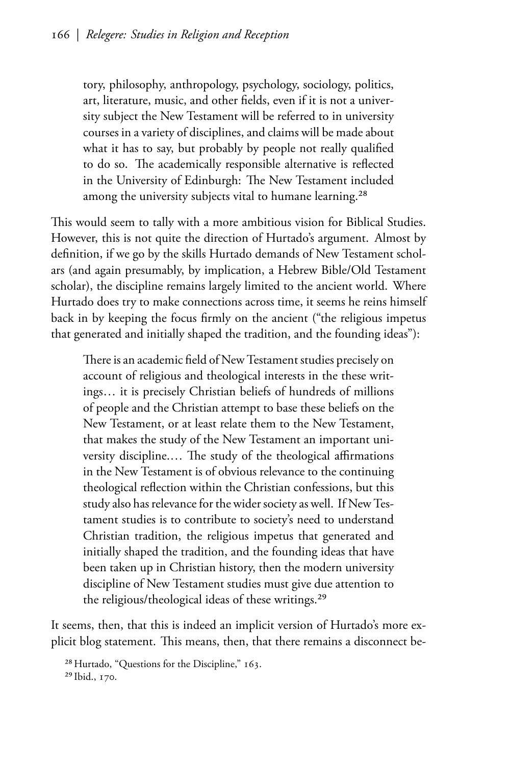tory, philosophy, anthropology, psychology, sociology, politics, art, literature, music, and other fields, even if it is not a university subject the New Testament will be referred to in university courses in a variety of disciplines, and claims will be made about what it has to say, but probably by people not really qualified to do so. The academically responsible alternative is reflected in the University of Edinburgh: The New Testament included among the university subjects vital to humane learning.<sup>28</sup>

This would seem to tally with a more ambitious vision for Biblical Studies. However, this is not quite the direction of Hurtado's argument. Almost by definition, if we go by the skills Hurtado demands of New Testament scholars (and again presumably, by implication, a Hebrew Bible/Old Testament scholar), the discipline remains largely limited to the ancient world. Where Hurtado does try to make connections across time, it seems he reins himself back in by keeping the focus firmly on the ancient ("the religious impetus that generated and initially shaped the tradition, and the founding ideas"):

There is an academic field of New Testament studies precisely on account of religious and theological interests in the these writings... it is precisely Christian beliefs of hundreds of millions of people and the Christian attempt to base these beliefs on the New Testament, or at least relate them to the New Testament, that makes the study of the New Testament an important university discipline.... The study of the theological affirmations in the New Testament is of obvious relevance to the continuing theological reflection within the Christian confessions, but this study also has relevance for the wider society as well. If New Testament studies is to contribute to society's need to understand Christian tradition, the religious impetus that generated and initially shaped the tradition, and the founding ideas that have been taken up in Christian history, then the modern university discipline of New Testament studies must give due attention to the religious/theological ideas of these writings.<sup>29</sup>

It seems, then, that this is indeed an implicit version of Hurtado's more explicit blog statement. This means, then, that there remains a disconnect be-

<sup>28</sup> Hurtado, "Questions for the Discipline," 163. <sup>29</sup> Ibid., 170.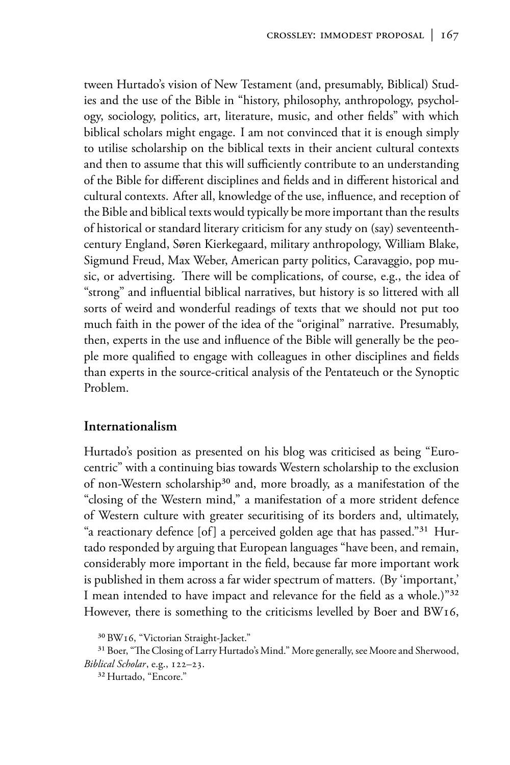tween Hurtado's vision of New Testament (and, presumably, Biblical) Studies and the use of the Bible in "history, philosophy, anthropology, psychology, sociology, politics, art, literature, music, and other fields" with which biblical scholars might engage. I am not convinced that it is enough simply to utilise scholarship on the biblical texts in their ancient cultural contexts and then to assume that this will sufficiently contribute to an understanding of the Bible for different disciplines and fields and in different historical and cultural contexts. After all, knowledge of the use, influence, and reception of the Bible and biblical texts would typically be more important than the results of historical or standard literary criticism for any study on (say) seventeenthcentury England, Søren Kierkegaard, military anthropology, William Blake, Sigmund Freud, Max Weber, American party politics, Caravaggio, pop music, or advertising. There will be complications, of course, e.g., the idea of "strong" and influential biblical narratives, but history is so littered with all sorts of weird and wonderful readings of texts that we should not put too much faith in the power of the idea of the "original" narrative. Presumably, then, experts in the use and influence of the Bible will generally be the people more qualified to engage with colleagues in other disciplines and fields than experts in the source-critical analysis of the Pentateuch or the Synoptic Problem.

## Internationalism

Hurtado's position as presented on his blog was criticised as being "Eurocentric" with a continuing bias towards Western scholarship to the exclusion of non-Western scholarship<sup>30</sup> and, more broadly, as a manifestation of the "closing of the Western mind," a manifestation of a more strident defence of Western culture with greater securitising of its borders and, ultimately, "a reactionary defence [of] a perceived golden age that has passed."<sup>31</sup> Hurtado responded by arguing that European languages "have been, and remain, considerably more important in the field, because far more important work is published in them across a far wider spectrum of matters. (By 'important,' I mean intended to have impact and relevance for the field as a whole.)"<sup>32</sup> However, there is something to the criticisms levelled by Boer and BW16,

<sup>&</sup>lt;sup>30</sup> BW16, "Victorian Straight-Jacket."

<sup>&</sup>lt;sup>31</sup> Boer, "The Closing of Larry Hurtado's Mind." More generally, see Moore and Sherwood, Biblical Scholar, e.g., 122-23.

<sup>&</sup>lt;sup>32</sup> Hurtado, "Encore."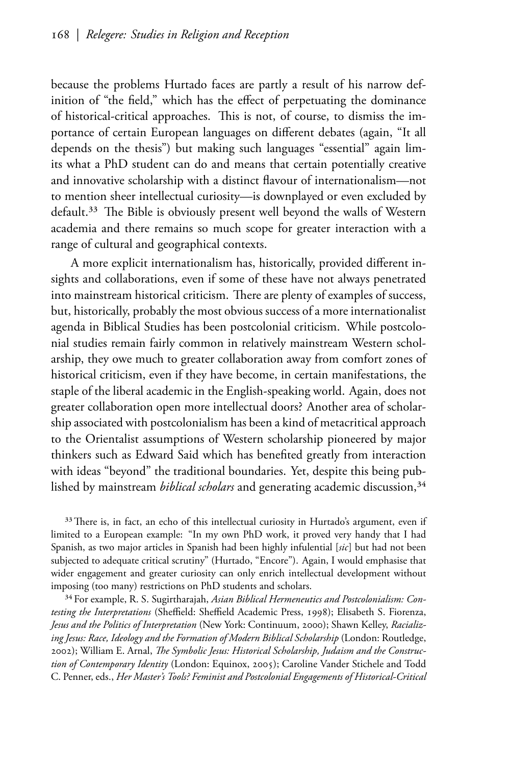because the problems Hurtado faces are partly a result of his narrow definition of "the field," which has the effect of perpetuating the dominance of historical-critical approaches. This is not, of course, to dismiss the importance of certain European languages on different debates (again, "It all depends on the thesis") but making such languages "essential" again limits what a PhD student can do and means that certain potentially creative and innovative scholarship with a distinct flavour of internationalism-not to mention sheer intellectual curiosity-is downplayed or even excluded by default.<sup>33</sup> The Bible is obviously present well beyond the walls of Western academia and there remains so much scope for greater interaction with a range of cultural and geographical contexts.

A more explicit internationalism has, historically, provided different insights and collaborations, even if some of these have not always penetrated into mainstream historical criticism. There are plenty of examples of success, but, historically, probably the most obvious success of a more internationalist agenda in Biblical Studies has been postcolonial criticism. While postcolonial studies remain fairly common in relatively mainstream Western scholarship, they owe much to greater collaboration away from comfort zones of historical criticism, even if they have become, in certain manifestations, the staple of the liberal academic in the English-speaking world. Again, does not greater collaboration open more intellectual doors? Another area of scholarship associated with postcolonialism has been a kind of metacritical approach to the Orientalist assumptions of Western scholarship pioneered by major thinkers such as Edward Said which has benefited greatly from interaction with ideas "beyond" the traditional boundaries. Yet, despite this being published by mainstream *biblical scholars* and generating academic discussion,<sup>34</sup>

<sup>33</sup> There is, in fact, an echo of this intellectual curiosity in Hurtado's argument, even if limited to a European example: "In my own PhD work, it proved very handy that I had Spanish, as two major articles in Spanish had been highly infulential [sic] but had not been subjected to adequate critical scrutiny" (Hurtado, "Encore"). Again, I would emphasise that wider engagement and greater curiosity can only enrich intellectual development without imposing (too many) restrictions on PhD students and scholars.

<sup>34</sup> For example, R. S. Sugirtharajah, Asian Biblical Hermeneutics and Postcolonialism: Contesting the Interpretations (Sheffield: Sheffield Academic Press, 1998); Elisabeth S. Fiorenza, Jesus and the Politics of Interpretation (New York: Continuum, 2000); Shawn Kelley, Racializing Jesus: Race, Ideology and the Formation of Modern Biblical Scholarship (London: Routledge, 2002); William E. Arnal, The Symbolic Jesus: Historical Scholarship, Judaism and the Construction of Contemporary Identity (London: Equinox, 2005); Caroline Vander Stichele and Todd C. Penner, eds., Her Master's Tools? Feminist and Postcolonial Engagements of Historical-Critical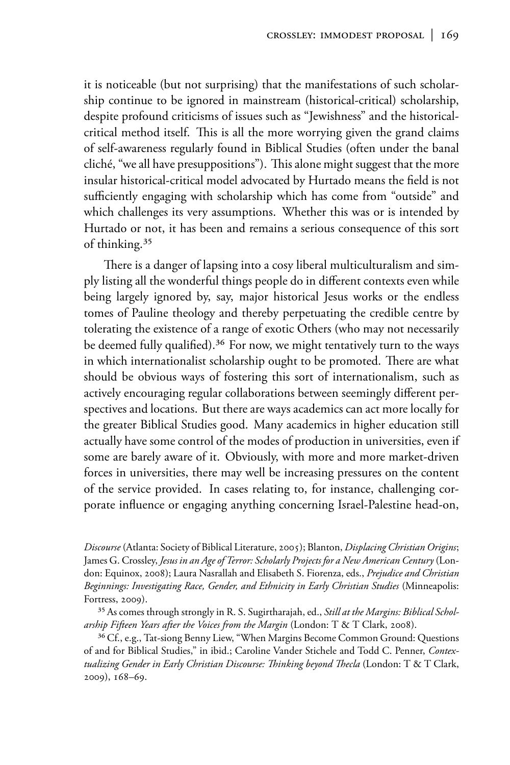it is noticeable (but not surprising) that the manifestations of such scholarship continue to be ignored in mainstream (historical-critical) scholarship, despite profound criticisms of issues such as "Jewishness" and the historicalcritical method itself. This is all the more worrying given the grand claims of self-awareness regularly found in Biblical Studies (often under the banal cliché, "we all have presuppositions"). This alone might suggest that the more insular historical-critical model advocated by Hurtado means the field is not sufficiently engaging with scholarship which has come from "outside" and which challenges its very assumptions. Whether this was or is intended by Hurtado or not, it has been and remains a serious consequence of this sort of thinking.<sup>35</sup>

There is a danger of lapsing into a cosy liberal multiculturalism and simply listing all the wonderful things people do in different contexts even while being largely ignored by, say, major historical Jesus works or the endless tomes of Pauline theology and thereby perpetuating the credible centre by tolerating the existence of a range of exotic Others (who may not necessarily be deemed fully qualified).<sup>36</sup> For now, we might tentatively turn to the ways in which internationalist scholarship ought to be promoted. There are what should be obvious ways of fostering this sort of internationalism, such as actively encouraging regular collaborations between seemingly different perspectives and locations. But there are ways academics can act more locally for the greater Biblical Studies good. Many academics in higher education still actually have some control of the modes of production in universities, even if some are barely aware of it. Obviously, with more and more market-driven forces in universities, there may well be increasing pressures on the content of the service provided. In cases relating to, for instance, challenging corporate influence or engaging anything concerning Israel-Palestine head-on,

Discourse (Atlanta: Society of Biblical Literature, 2005); Blanton, Displacing Christian Origins; James G. Crossley, Jesus in an Age of Terror: Scholarly Projects for a New American Century (London: Equinox, 2008); Laura Nasrallah and Elisabeth S. Fiorenza, eds., Prejudice and Christian Beginnings: Investigating Race, Gender, and Ethnicity in Early Christian Studies (Minneapolis: Fortress, 2009).

<span id="page-17-0"></span><sup>35</sup> As comes through strongly in R. S. Sugirtharajah, ed., Still at the Margins: Biblical Scholarship Fifteen Years after the Voices from the Margin (London: T & T Clark, 2008).

<sup>36</sup> Cf., e.g., Tat-siong Benny Liew, "When Margins Become Common Ground: Questions of and for Biblical Studies," in ibid.; Caroline Vander Stichele and Todd C. Penner, Contextualizing Gender in Early Christian Discourse: Thinking beyond Thecla (London: T & T Clark, 2009), 168-69.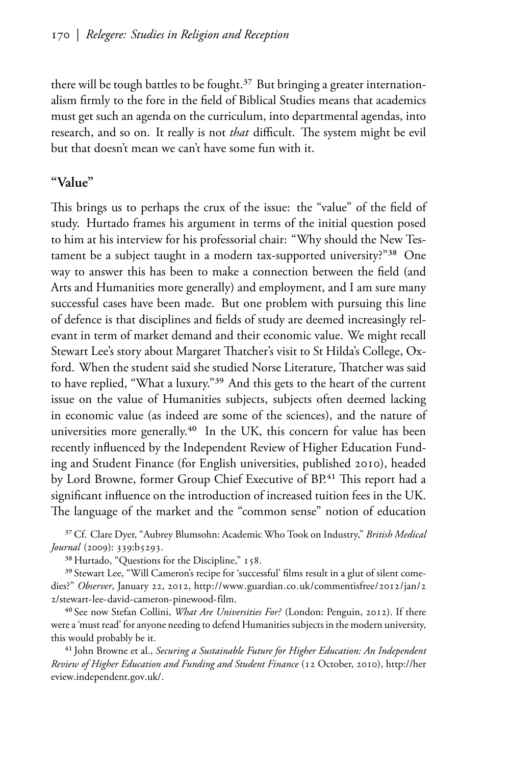there will be tough battles to be fought.<sup>37</sup> But bringing a greater internationalism firmly to the fore in the field of Biblical Studies means that academics must get such an agenda on the curriculum, into departmental agendas, into research, and so on. It really is not that difficult. The system might be evil but that doesn't mean we can't have some fun with it.

### "Value"

This brings us to perhaps the crux of the issue: the "value" of the field of study. Hurtado frames his argument in terms of the initial question posed to him at his interview for his professorial chair: "Why should the New Testament be a subject taught in a modern tax-supported university?"38 One way to answer this has been to make a connection between the field (and Arts and Humanities more generally) and employment, and I am sure many successful cases have been made. But one problem with pursuing this line of defence is that disciplines and fields of study are deemed increasingly relevant in term of market demand and their economic value. We might recall Stewart Lee's story about Margaret Thatcher's visit to St Hilda's College, Oxford. When the student said she studied Norse Literature, Thatcher was said to have replied, "What a luxury."<sup>39</sup> And this gets to the heart of the current issue on the value of Humanities subjects, subjects often deemed lacking in economic value (as indeed are some of the sciences), and the nature of universities more generally.<sup>40</sup> In the UK, this concern for value has been recently influenced by the Independent Review of Higher Education Funding and Student Finance (for English universities, published 2010), headed by Lord Browne, former Group Chief Executive of BP.<sup>41</sup> This report had a significant influence on the introduction of increased tuition fees in the UK. The language of the market and the "common sense" notion of education

<sup>37</sup> Cf. Clare Dyer, "Aubrey Blumsohn: Academic Who Took on Industry," British Medical Journal (2009): 339:b5293.

<sup>38</sup> Hurtado, "Questions for the Discipline," 158.

<sup>39</sup> Stewart Lee, "Will Cameron's recipe for 'successful' films result in a glut of silent comedies?" Observer, January 22, 2012, http://www.guardian.co.uk/commentisfree/2012/jan/2 2/stewart-lee-david-cameron-pinewood-film.

<sup>40</sup> See now Stefan Collini, What Are Universities For? (London: Penguin, 2012). If there were a 'must read' for anyone needing to defend Humanities subjects in the modern university, this would probably be it.

<sup>41</sup> John Browne et al., Securing a Sustainable Future for Higher Education: An Independent Review of Higher Education and Funding and Student Finance (12 October, 2010), http://her eview.independent.gov.uk/.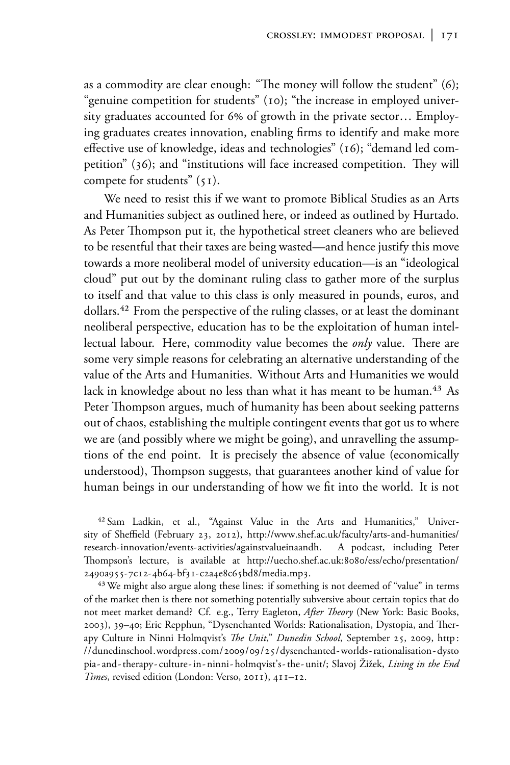as a commodity are clear enough: "The money will follow the student"  $(6)$ ; "genuine competition for students" (10); "the increase in employed university graduates accounted for 6% of growth in the private sector... Employing graduates creates innovation, enabling firms to identify and make more effective use of knowledge, ideas and technologies" (16); "demand led competition" (36); and "institutions will face increased competition. They will compete for students"  $(51)$ .

We need to resist this if we want to promote Biblical Studies as an Arts and Humanities subject as outlined here, or indeed as outlined by Hurtado. As Peter Thompson put it, the hypothetical street cleaners who are believed to be resentful that their taxes are being wasted—and hence justify this move towards a more neoliberal model of university education- is an "ideological cloud" put out by the dominant ruling class to gather more of the surplus to itself and that value to this class is only measured in pounds, euros, and dollars.<sup>42</sup> From the perspective of the ruling classes, or at least the dominant neoliberal perspective, education has to be the exploitation of human intellectual labour. Here, commodity value becomes the only value. There are some very simple reasons for celebrating an alternative understanding of the value of the Arts and Humanities. Without Arts and Humanities we would lack in knowledge about no less than what it has meant to be human.<sup>43</sup> As Peter Thompson argues, much of humanity has been about seeking patterns out of chaos, establishing the multiple contingent events that got us to where we are (and possibly where we might be going), and unravelling the assumptions of the end point. It is precisely the absence of value (economically understood), Thompson suggests, that guarantees another kind of value for human beings in our understanding of how we fit into the world. It is not

<sup>42</sup> Sam Ladkin, et al., "Against Value in the Arts and Humanities," University of Sheffield (February 23, 2012), http://www.shef.ac.uk/faculty/arts-and-humanities/ research-innovation/events-activities/againstvalueinaandh. A podcast, including Peter Thompson's lecture, is available at http://uecho.shef.ac.uk:8080/ess/echo/presentation/ 2490a955-7c12-4b64-bf31-c2a4e8c65bd8/media.mp3.

<sup>43</sup> We might also argue along these lines: if something is not deemed of "value" in terms of the market then is there not something potentially subversive about certain topics that do not meet market demand? Cf. e.g., Terry Eagleton, After Theory (New York: Basic Books, 2003), 39-40; Eric Repphun, "Dysenchanted Worlds: Rationalisation, Dystopia, and Therapy Culture in Ninni Holmqvist's The Unit," Dunedin School, September 25, 2009, http: //dunedinschool.wordpress.com/2009/09/25/dysenchanted-worlds-rationalisation-dysto pia-and-therapy-culture-in-ninni-holmqvist's-the-unit/; Slavoj Žižek, Living in the End Times, revised edition (London: Verso, 2011), 411-12.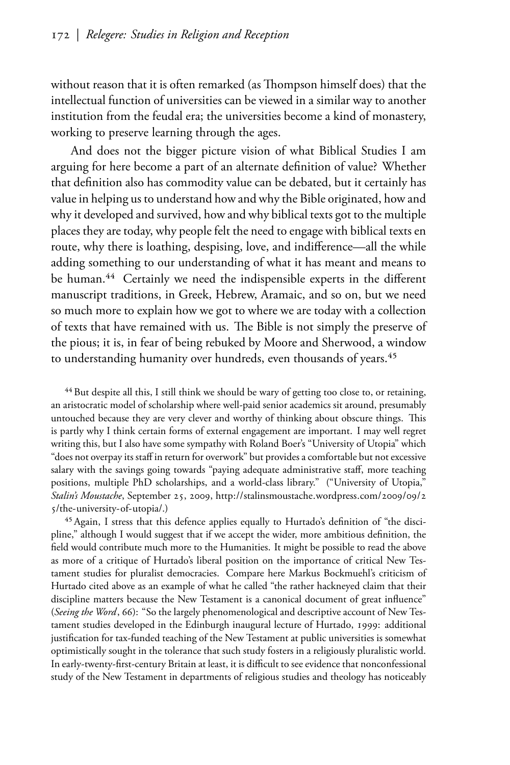without reason that it is often remarked (as Thompson himself does) that the intellectual function of universities can be viewed in a similar way to another institution from the feudal era; the universities become a kind of monastery, working to preserve learning through the ages.

And does not the bigger picture vision of what Biblical Studies I am arguing for here become a part of an alternate definition of value? Whether that definition also has commodity value can be debated, but it certainly has value in helping us to understand how and why the Bible originated, how and why it developed and survived, how and why biblical texts got to the multiple places they are today, why people felt the need to engage with biblical texts en route, why there is loathing, despising, love, and indifference—all the while adding something to our understanding of what it has meant and means to be human.<sup>44</sup> Certainly we need the indispensible experts in the different manuscript traditions, in Greek, Hebrew, Aramaic, and so on, but we need so much more to explain how we got to where we are today with a collection of texts that have remained with us. The Bible is not simply the preserve of the pious; it is, in fear of being rebuked by Moore and Sherwood, a window to understanding humanity over hundreds, even thousands of years.<sup>45</sup>

<sup>44</sup> But despite all this, I still think we should be wary of getting too close to, or retaining, an aristocratic model of scholarship where well-paid senior academics sit around, presumably untouched because they are very clever and worthy of thinking about obscure things. This is partly why I think certain forms of external engagement are important. I may well regret writing this, but I also have some sympathy with Roland Boer's "University of Utopia" which "does not overpay its staff in return for overwork" but provides a comfortable but not excessive salary with the savings going towards "paying adequate administrative staff, more teaching positions, multiple PhD scholarships, and a world-class library." ("University of Utopia," Stalin's Moustache, September 25, 2009, http://stalinsmoustache.wordpress.com/2009/09/2 5/the-university-of-utopia/.)

<sup>45</sup> Again, I stress that this defence applies equally to Hurtado's definition of "the discipline," although I would suggest that if we accept the wider, more ambitious definition, the field would contribute much more to the Humanities. It might be possible to read the above as more of a critique of Hurtado's liberal position on the importance of critical New Testament studies for pluralist democracies. Compare here Markus Bockmuehl's criticism of Hurtado cited above as an example of what he called "the rather hackneyed claim that their discipline matters because the New Testament is a canonical document of great influence" (Seeing the Word, 66): "So the largely phenomenological and descriptive account of New Testament studies developed in the Edinburgh inaugural lecture of Hurtado, 1999: additional justification for tax-funded teaching of the New Testament at public universities is somewhat optimistically sought in the tolerance that such study fosters in a religiously pluralistic world. In early-twenty-first-century Britain at least, it is difficult to see evidence that nonconfessional study of the New Testament in departments of religious studies and theology has noticeably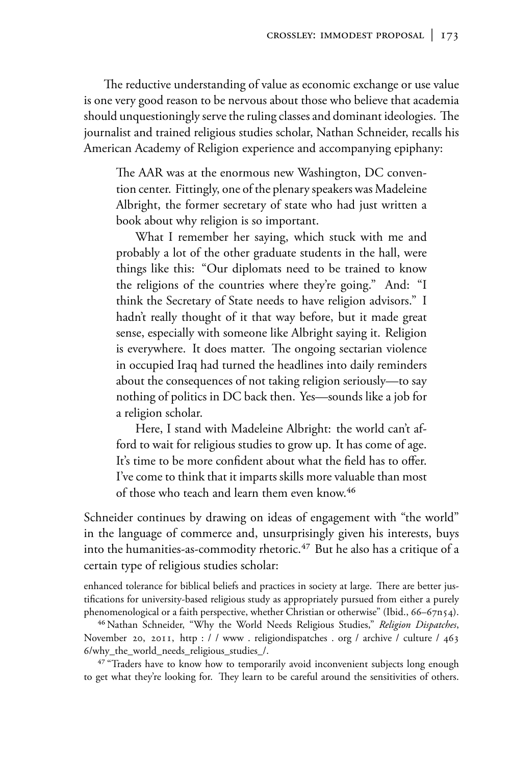The reductive understanding of value as economic exchange or use value is one very good reason to be nervous about those who believe that academia should unquestioningly serve the ruling classes and dominant ideologies. The journalist and trained religious studies scholar, Nathan Schneider, recalls his American Academy of Religion experience and accompanying epiphany:

The AAR was at the enormous new Washington, DC convention center. Fittingly, one of the plenary speakers was Madeleine Albright, the former secretary of state who had just written a book about why religion is so important.

What I remember her saying, which stuck with me and probably a lot of the other graduate students in the hall, were things like this: "Our diplomats need to be trained to know the religions of the countries where they're going." And: "I think the Secretary of State needs to have religion advisors." I hadn't really thought of it that way before, but it made great sense, especially with someone like Albright saying it. Religion is everywhere. It does matter. The ongoing sectarian violence in occupied Iraq had turned the headlines into daily reminders about the consequences of not taking religion seriously—to say nothing of politics in DC back then. Yes-sounds like a job for a religion scholar.

Here, I stand with Madeleine Albright: the world can't afford to wait for religious studies to grow up. It has come of age. It's time to be more confident about what the field has to offer. I've come to think that it imparts skills more valuable than most of those who teach and learn them even know.<sup>46</sup>

Schneider continues by drawing on ideas of engagement with "the world" in the language of commerce and, unsurprisingly given his interests, buys into the humanities-as-commodity rhetoric.<sup>47</sup> But he also has a critique of a certain type of religious studies scholar:

enhanced tolerance for biblical beliefs and practices in society at large. There are better justifications for university-based religious study as appropriately pursued from either a purely phenomenological or a faith perspective, whether Christian or otherwise" (Ibid., 66–67n54).

<sup>46</sup> Nathan Schneider, "Why the World Needs Religious Studies," Religion Dispatches, November 20, 2011, http://www.religiondispatches.org/archive/culture/463 6/why\_the\_world\_needs\_religious\_studies\_/.

<sup>47</sup> "Traders have to know how to temporarily avoid inconvenient subjects long enough to get what they're looking for. They learn to be careful around the sensitivities of others.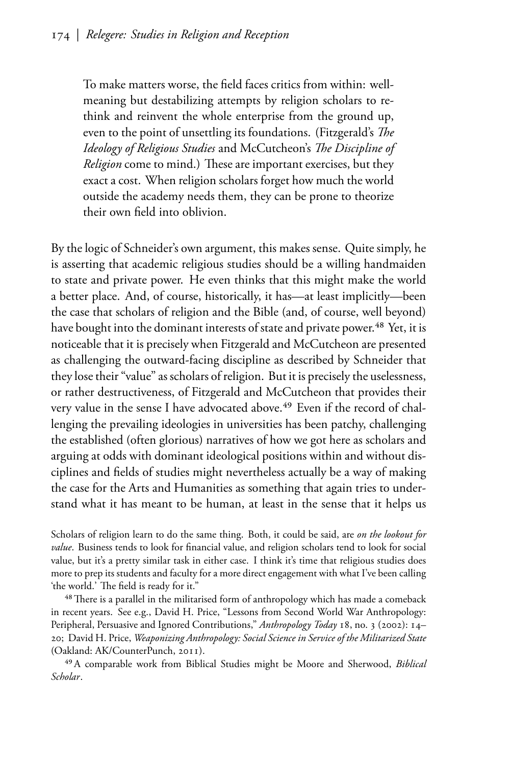To make matters worse, the field faces critics from within: wellmeaning but destabilizing attempts by religion scholars to rethink and reinvent the whole enterprise from the ground up, even to the point of unsettling its foundations. (Fitzgerald's The Ideology of Religious Studies and McCutcheon's The Discipline of *Religion* come to mind.) These are important exercises, but they exact a cost. When religion scholars forget how much the world outside the academy needs them, they can be prone to theorize their own field into oblivion.

By the logic of Schneider's own argument, this makes sense. Quite simply, he is asserting that academic religious studies should be a willing handmaiden to state and private power. He even thinks that this might make the world a better place. And, of course, historically, it has—at least implicitly—been the case that scholars of religion and the Bible (and, of course, well beyond) have bought into the dominant interests of state and private power.<sup>48</sup> Yet, it is noticeable that it is precisely when Fitzgerald and McCutcheon are presented as challenging the outward-facing discipline as described by Schneider that they lose their "value" as scholars of religion. But it is precisely the uselessness, or rather destructiveness, of Fitzgerald and McCutcheon that provides their very value in the sense I have advocated above.<sup>49</sup> Even if the record of challenging the prevailing ideologies in universities has been patchy, challenging the established (often glorious) narratives of how we got here as scholars and arguing at odds with dominant ideological positions within and without disciplines and fields of studies might nevertheless actually be a way of making the case for the Arts and Humanities as something that again tries to understand what it has meant to be human, at least in the sense that it helps us

Scholars of religion learn to do the same thing. Both, it could be said, are on the lookout for value. Business tends to look for financial value, and religion scholars tend to look for social value, but it's a pretty similar task in either case. I think it's time that religious studies does more to prep its students and faculty for a more direct engagement with what I've been calling 'the world.' The field is ready for it."

<sup>48</sup> There is a parallel in the militarised form of anthropology which has made a comeback in recent years. See e.g., David H. Price, "Lessons from Second World War Anthropology: Peripheral, Persuasive and Ignored Contributions," Anthropology Today 18, no. 3 (2002): 14-20; David H. Price, Weaponizing Anthropology: Social Science in Service of the Militarized State (Oakland: AK/CounterPunch, 2011).

<sup>49</sup> A comparable work from Biblical Studies might be Moore and Sherwood, Biblical Scholar.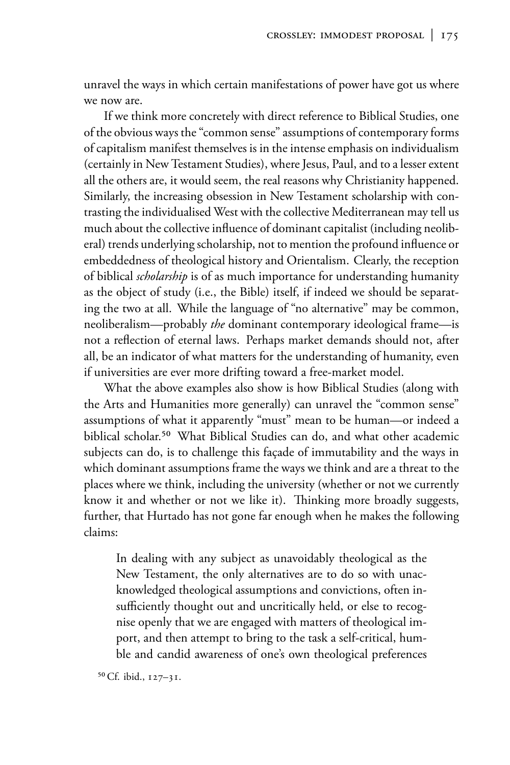unravel the ways in which certain manifestations of power have got us where we now are.

If we think more concretely with direct reference to Biblical Studies, one of the obvious ways the "common sense" assumptions of contemporary forms of capitalism manifest themselves is in the intense emphasis on individualism (certainly in New Testament Studies), where Jesus, Paul, and to a lesser extent all the others are, it would seem, the real reasons why Christianity happened. Similarly, the increasing obsession in New Testament scholarship with contrasting the individualised West with the collective Mediterranean may tell us much about the collective influence of dominant capitalist (including neoliberal) trends underlying scholarship, not to mention the profound influence or embeddedness of theological history and Orientalism. Clearly, the reception of biblical scholarship is of as much importance for understanding humanity as the object of study (i.e., the Bible) itself, if indeed we should be separating the two at all. While the language of "no alternative" may be common, neoliberalism—probably the dominant contemporary ideological frame—is not a reflection of eternal laws. Perhaps market demands should not, after all, be an indicator of what matters for the understanding of humanity, even if universities are ever more drifting toward a free-market model.

What the above examples also show is how Biblical Studies (along with the Arts and Humanities more generally) can unravel the "common sense" assumptions of what it apparently "must" mean to be human—or indeed a biblical scholar.<sup>50</sup> What Biblical Studies can do, and what other academic subjects can do, is to challenge this façade of immutability and the ways in which dominant assumptions frame the ways we think and are a threat to the places where we think, including the university (whether or not we currently know it and whether or not we like it). Thinking more broadly suggests, further, that Hurtado has not gone far enough when he makes the following claims<sup>.</sup>

In dealing with any subject as unavoidably theological as the New Testament, the only alternatives are to do so with unacknowledged theological assumptions and convictions, often insufficiently thought out and uncritically held, or else to recognise openly that we are engaged with matters of theological import, and then attempt to bring to the task a self-critical, humble and candid awareness of one's own theological preferences

<sup>50</sup> Cf. ibid., 127-31.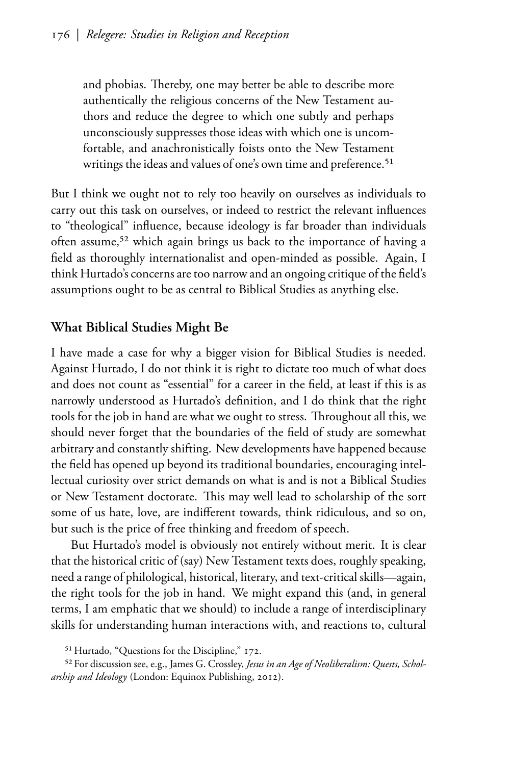and phobias. Thereby, one may better be able to describe more authentically the religious concerns of the New Testament authors and reduce the degree to which one subtly and perhaps unconsciously suppresses those ideas with which one is uncomfortable, and anachronistically foists onto the New Testament writings the ideas and values of one's own time and preference.<sup>51</sup>

But I think we ought not to rely too heavily on ourselves as individuals to carry out this task on ourselves, or indeed to restrict the relevant influences to "theological" influence, because ideology is far broader than individuals often assume,<sup>52</sup> which again brings us back to the importance of having a field as thoroughly internationalist and open-minded as possible. Again, I think Hurtado's concerns are too narrow and an ongoing critique of the field's assumptions ought to be as central to Biblical Studies as anything else.

## What Biblical Studies Might Be

I have made a case for why a bigger vision for Biblical Studies is needed. Against Hurtado, I do not think it is right to dictate too much of what does and does not count as "essential" for a career in the field, at least if this is as narrowly understood as Hurtado's definition, and I do think that the right tools for the job in hand are what we ought to stress. Throughout all this, we should never forget that the boundaries of the field of study are somewhat arbitrary and constantly shifting. New developments have happened because the field has opened up beyond its traditional boundaries, encouraging intellectual curiosity over strict demands on what is and is not a Biblical Studies or New Testament doctorate. This may well lead to scholarship of the sort some of us hate, love, are indifferent towards, think ridiculous, and so on, but such is the price of free thinking and freedom of speech.

But Hurtado's model is obviously not entirely without merit. It is clear that the historical critic of (say) New Testament texts does, roughly speaking, need a range of philological, historical, literary, and text-critical skills-again, the right tools for the job in hand. We might expand this (and, in general terms, I am emphatic that we should) to include a range of interdisciplinary skills for understanding human interactions with, and reactions to, cultural

<sup>&</sup>lt;sup>51</sup> Hurtado, "Questions for the Discipline," 172.

<sup>52</sup> For discussion see, e.g., James G. Crossley, Jesus in an Age of Neoliberalism: Quests, Scholarship and Ideology (London: Equinox Publishing, 2012).